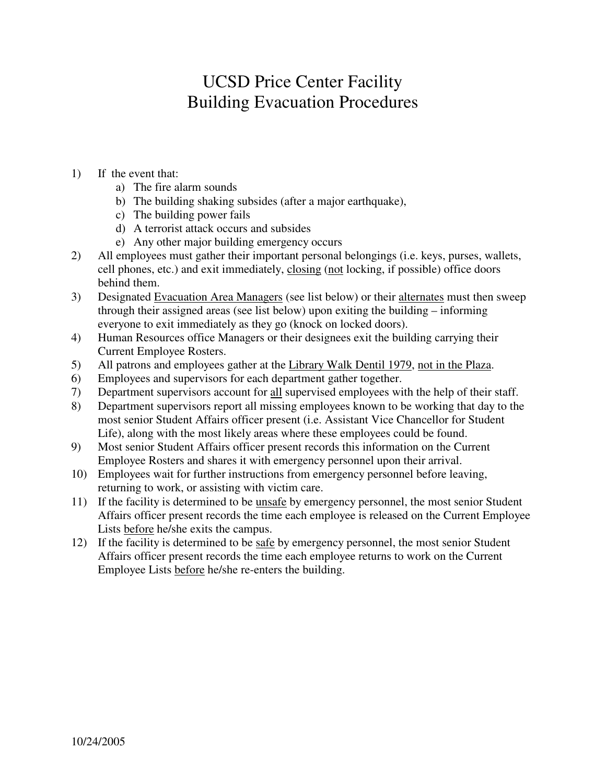# UCSD Price Center Facility Building Evacuation Procedures

- 1) If the event that:
	- a) The fire alarm sounds
	- b) The building shaking subsides (after a major earthquake),
	- c) The building power fails
	- d) A terrorist attack occurs and subsides
	- e) Any other major building emergency occurs
- 2) All employees must gather their important personal belongings (i.e. keys, purses, wallets, cell phones, etc.) and exit immediately, closing (not locking, if possible) office doors behind them.
- 3) Designated Evacuation Area Managers (see list below) or their alternates must then sweep through their assigned areas (see list below) upon exiting the building – informing everyone to exit immediately as they go (knock on locked doors).
- 4) Human Resources office Managers or their designees exit the building carrying their Current Employee Rosters.
- 5) All patrons and employees gather at the Library Walk Dentil 1979, not in the Plaza.
- 6) Employees and supervisors for each department gather together.
- 7) Department supervisors account for all supervised employees with the help of their staff.
- 8) Department supervisors report all missing employees known to be working that day to the most senior Student Affairs officer present (i.e. Assistant Vice Chancellor for Student Life), along with the most likely areas where these employees could be found.
- 9) Most senior Student Affairs officer present records this information on the Current Employee Rosters and shares it with emergency personnel upon their arrival.
- 10) Employees wait for further instructions from emergency personnel before leaving, returning to work, or assisting with victim care.
- 11) If the facility is determined to be unsafe by emergency personnel, the most senior Student Affairs officer present records the time each employee is released on the Current Employee Lists before he/she exits the campus.
- 12) If the facility is determined to be safe by emergency personnel, the most senior Student Affairs officer present records the time each employee returns to work on the Current Employee Lists before he/she re-enters the building.